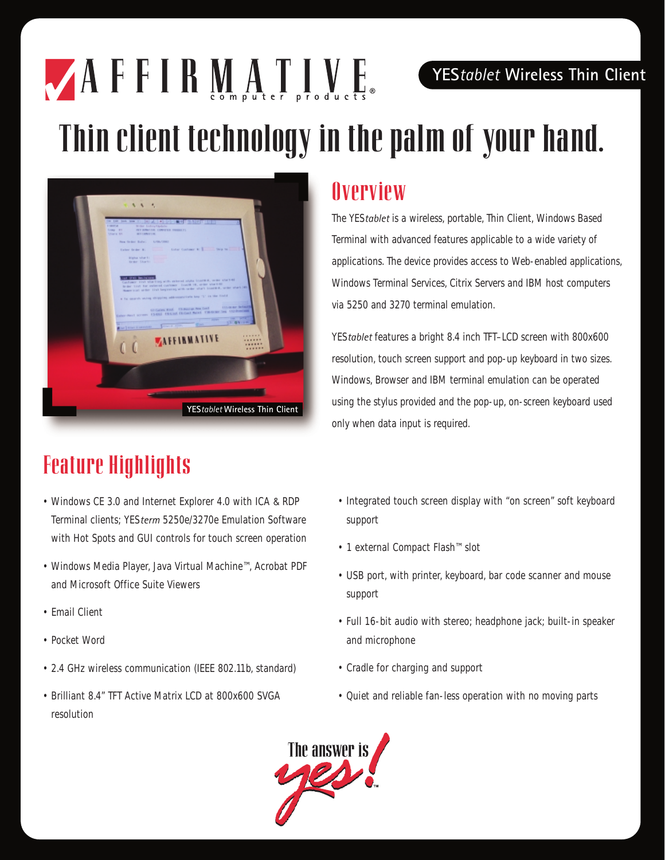#### **YES***tablet* **Wireless Thin Client**

# Thin client technology in the palm of your hand.



 $A$  F F I R M A T I V E

### Feature Highlights

- Windows CE 3.0 and Internet Explorer 4.0 with ICA & RDP Terminal clients; YES*term* 5250e/3270e Emulation Software with Hot Spots and GUI controls for touch screen operation
- Windows Media Player, Java Virtual Machine™, Acrobat PDF and Microsoft Office Suite Viewers
- Email Client
- Pocket Word
- 2.4 GHz wireless communication (IEEE 802.11b, standard)
- Brilliant 8.4" TFT Active Matrix LCD at 800x600 SVGA resolution

#### **Overview**

The YES*tablet* is a wireless, portable, Thin Client, Windows Based Terminal with advanced features applicable to a wide variety of applications. The device provides access to Web-enabled applications, Windows Terminal Services, Citrix Servers and IBM host computers via 5250 and 3270 terminal emulation.

YES*tablet* features a bright 8.4 inch TFT–LCD screen with 800x600 resolution, touch screen support and pop-up keyboard in two sizes. Windows, Browser and IBM terminal emulation can be operated using the stylus provided and the pop-up, on-screen keyboard used only when data input is required.

- Integrated touch screen display with "on screen" soft keyboard support
- 1 external Compact Flash™ slot
- USB port, with printer, keyboard, bar code scanner and mouse support
- Full 16-bit audio with stereo; headphone jack; built-in speaker and microphone
- Cradle for charging and support
- Quiet and reliable fan-less operation with no moving parts